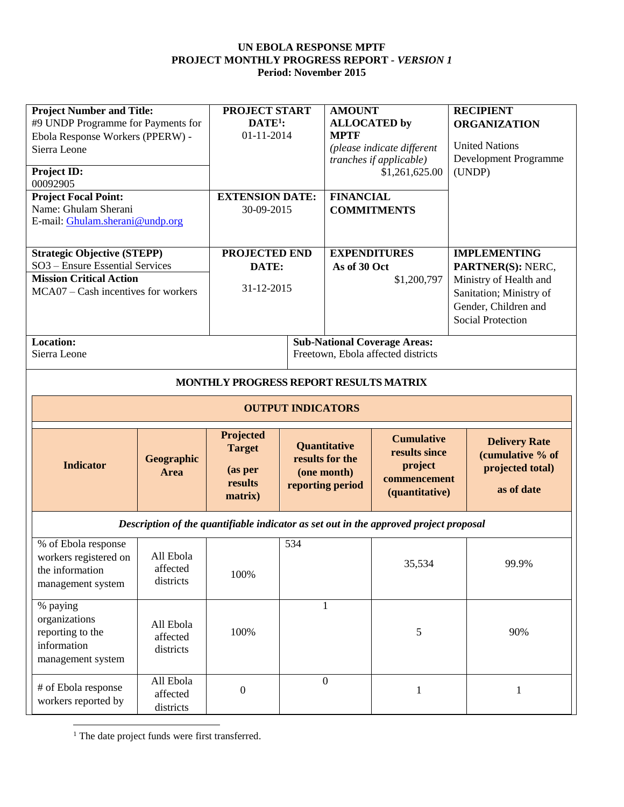| <b>Project Number and Title:</b><br>#9 UNDP Programme for Payments for<br>Ebola Response Workers (PPERW) -<br>Sierra Leone<br><b>Project ID:</b><br>00092905<br><b>Project Focal Point:</b><br>Name: Ghulam Sherani<br>E-mail: Ghulam.sherani@undp.org |                                    | PROJECT START<br>$DATE1$ :<br>01-11-2014<br><b>EXTENSION DATE:</b><br>30-09-2015 |     | <b>AMOUNT</b><br><b>ALLOCATED</b> by<br><b>MPTF</b><br><b>FINANCIAL</b> | (please indicate different<br>tranches if applicable)<br>\$1,261,625.00<br><b>COMMITMENTS</b> | <b>RECIPIENT</b><br><b>ORGANIZATION</b><br><b>United Nations</b><br>Development Programme<br>(UNDP)                                               |
|--------------------------------------------------------------------------------------------------------------------------------------------------------------------------------------------------------------------------------------------------------|------------------------------------|----------------------------------------------------------------------------------|-----|-------------------------------------------------------------------------|-----------------------------------------------------------------------------------------------|---------------------------------------------------------------------------------------------------------------------------------------------------|
| <b>Strategic Objective (STEPP)</b><br>SO3 - Ensure Essential Services<br><b>Mission Critical Action</b><br>MCA07 – Cash incentives for workers                                                                                                         |                                    | <b>PROJECTED END</b><br>DATE:<br>31-12-2015                                      |     | <b>EXPENDITURES</b><br>As of 30 Oct                                     | \$1,200,797                                                                                   | <b>IMPLEMENTING</b><br>PARTNER(S): NERC,<br>Ministry of Health and<br>Sanitation; Ministry of<br>Gender, Children and<br><b>Social Protection</b> |
| <b>Location:</b><br>Sierra Leone                                                                                                                                                                                                                       |                                    |                                                                                  |     |                                                                         | <b>Sub-National Coverage Areas:</b><br>Freetown, Ebola affected districts                     |                                                                                                                                                   |
|                                                                                                                                                                                                                                                        |                                    | MONTHLY PROGRESS REPORT RESULTS MATRIX<br><b>OUTPUT INDICATORS</b>               |     |                                                                         |                                                                                               |                                                                                                                                                   |
| <b>Indicator</b>                                                                                                                                                                                                                                       | <b>Geographic</b><br>Area          | Projected<br><b>Target</b><br>(as per<br>results<br>matrix)                      |     | Quantitative<br>results for the<br>(one month)<br>reporting period      | <b>Cumulative</b><br>results since<br>project<br>commencement<br>(quantitative)               | <b>Delivery Rate</b><br>(cumulative % of<br>projected total)<br>as of date                                                                        |
|                                                                                                                                                                                                                                                        |                                    |                                                                                  |     |                                                                         | Description of the quantifiable indicator as set out in the approved project proposal         |                                                                                                                                                   |
| % of Ebola response<br>workers registered on<br>the information<br>management system                                                                                                                                                                   | All Ebola<br>affected<br>districts | 100%                                                                             | 534 |                                                                         | 35,534                                                                                        | 99.9%                                                                                                                                             |
| % paying<br>organizations<br>reporting to the<br>information<br>management system                                                                                                                                                                      | All Ebola<br>affected<br>districts | 100%                                                                             |     | $\mathbf{1}$                                                            | 5                                                                                             | 90%                                                                                                                                               |
| # of Ebola response<br>workers reported by                                                                                                                                                                                                             | All Ebola<br>affected<br>districts | $\boldsymbol{0}$                                                                 |     | $\mathbf{0}$                                                            | $\mathbf{1}$                                                                                  | 1                                                                                                                                                 |

<sup>1</sup> The date project funds were first transferred.

 $\overline{\phantom{a}}$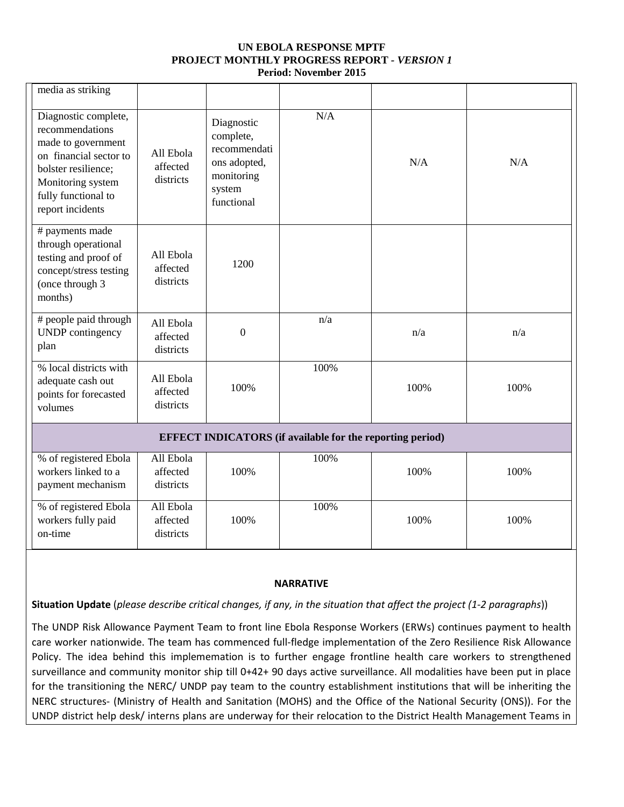| media as striking                                                                                                                                                              |                                    |                                                                                               |                                                                  |      |      |
|--------------------------------------------------------------------------------------------------------------------------------------------------------------------------------|------------------------------------|-----------------------------------------------------------------------------------------------|------------------------------------------------------------------|------|------|
| Diagnostic complete,<br>recommendations<br>made to government<br>on financial sector to<br>bolster resilience;<br>Monitoring system<br>fully functional to<br>report incidents | All Ebola<br>affected<br>districts | Diagnostic<br>complete,<br>recommendati<br>ons adopted,<br>monitoring<br>system<br>functional | N/A                                                              | N/A  | N/A  |
| # payments made<br>through operational<br>testing and proof of<br>concept/stress testing<br>(once through 3<br>months)                                                         | All Ebola<br>affected<br>districts | 1200                                                                                          |                                                                  |      |      |
| # people paid through<br><b>UNDP</b> contingency<br>plan                                                                                                                       | All Ebola<br>affected<br>districts | $\mathbf{0}$                                                                                  | n/a                                                              | n/a  | n/a  |
| % local districts with<br>adequate cash out<br>points for forecasted<br>volumes                                                                                                | All Ebola<br>affected<br>districts | 100%                                                                                          | 100%                                                             | 100% | 100% |
|                                                                                                                                                                                |                                    |                                                                                               | <b>EFFECT INDICATORS</b> (if available for the reporting period) |      |      |
| % of registered Ebola<br>workers linked to a<br>payment mechanism                                                                                                              | All Ebola<br>affected<br>districts | 100%                                                                                          | 100%                                                             | 100% | 100% |
| % of registered Ebola<br>workers fully paid<br>on-time                                                                                                                         | All Ebola<br>affected<br>districts | 100%                                                                                          | 100%                                                             | 100% | 100% |

# **NARRATIVE**

**Situation Update** (*please describe critical changes, if any, in the situation that affect the project (1-2 paragraphs*))

The UNDP Risk Allowance Payment Team to front line Ebola Response Workers (ERWs) continues payment to health care worker nationwide. The team has commenced full-fledge implementation of the Zero Resilience Risk Allowance Policy. The idea behind this implememation is to further engage frontline health care workers to strengthened surveillance and community monitor ship till 0+42+ 90 days active surveillance. All modalities have been put in place for the transitioning the NERC/ UNDP pay team to the country establishment institutions that will be inheriting the NERC structures- (Ministry of Health and Sanitation (MOHS) and the Office of the National Security (ONS)). For the UNDP district help desk/ interns plans are underway for their relocation to the District Health Management Teams in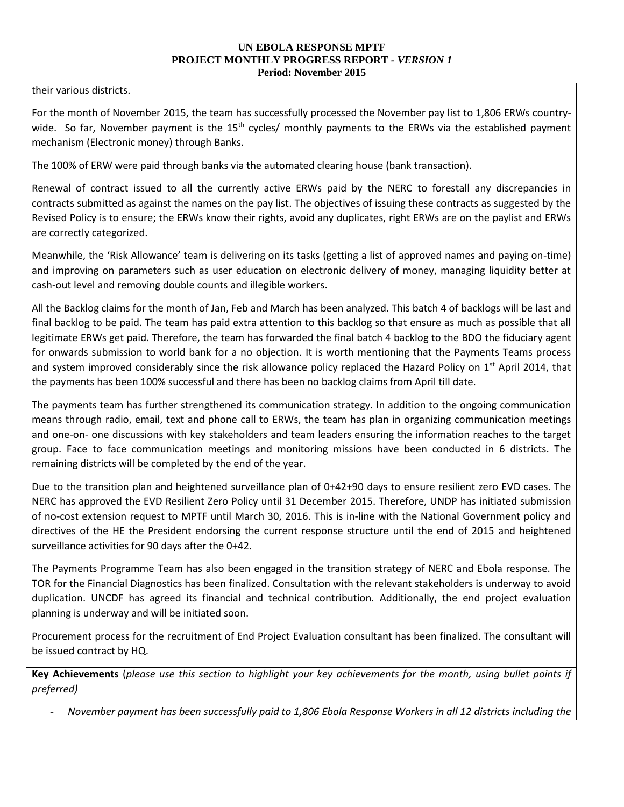their various districts.

For the month of November 2015, the team has successfully processed the November pay list to 1,806 ERWs countrywide. So far, November payment is the  $15<sup>th</sup>$  cycles/ monthly payments to the ERWs via the established payment mechanism (Electronic money) through Banks.

The 100% of ERW were paid through banks via the automated clearing house (bank transaction).

Renewal of contract issued to all the currently active ERWs paid by the NERC to forestall any discrepancies in contracts submitted as against the names on the pay list. The objectives of issuing these contracts as suggested by the Revised Policy is to ensure; the ERWs know their rights, avoid any duplicates, right ERWs are on the paylist and ERWs are correctly categorized.

Meanwhile, the 'Risk Allowance' team is delivering on its tasks (getting a list of approved names and paying on-time) and improving on parameters such as user education on electronic delivery of money, managing liquidity better at cash-out level and removing double counts and illegible workers.

All the Backlog claims for the month of Jan, Feb and March has been analyzed. This batch 4 of backlogs will be last and final backlog to be paid. The team has paid extra attention to this backlog so that ensure as much as possible that all legitimate ERWs get paid. Therefore, the team has forwarded the final batch 4 backlog to the BDO the fiduciary agent for onwards submission to world bank for a no objection. It is worth mentioning that the Payments Teams process and system improved considerably since the risk allowance policy replaced the Hazard Policy on  $1<sup>st</sup>$  April 2014, that the payments has been 100% successful and there has been no backlog claims from April till date.

The payments team has further strengthened its communication strategy. In addition to the ongoing communication means through radio, email, text and phone call to ERWs, the team has plan in organizing communication meetings and one-on- one discussions with key stakeholders and team leaders ensuring the information reaches to the target group. Face to face communication meetings and monitoring missions have been conducted in 6 districts. The remaining districts will be completed by the end of the year.

Due to the transition plan and heightened surveillance plan of 0+42+90 days to ensure resilient zero EVD cases. The NERC has approved the EVD Resilient Zero Policy until 31 December 2015. Therefore, UNDP has initiated submission of no-cost extension request to MPTF until March 30, 2016. This is in-line with the National Government policy and directives of the HE the President endorsing the current response structure until the end of 2015 and heightened surveillance activities for 90 days after the 0+42.

The Payments Programme Team has also been engaged in the transition strategy of NERC and Ebola response. The TOR for the Financial Diagnostics has been finalized. Consultation with the relevant stakeholders is underway to avoid duplication. UNCDF has agreed its financial and technical contribution. Additionally, the end project evaluation planning is underway and will be initiated soon.

Procurement process for the recruitment of End Project Evaluation consultant has been finalized. The consultant will be issued contract by HQ.

**Key Achievements** (*please use this section to highlight your key achievements for the month, using bullet points if preferred)*

*- November payment has been successfully paid to 1,806 Ebola Response Workers in all 12 districts including the*